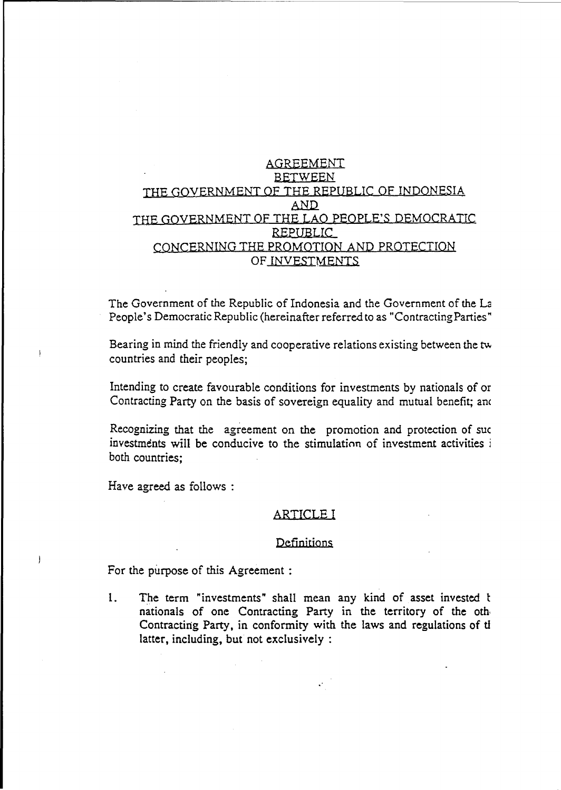## AGREEMENT BETWEEN THE GOVERNMENT OF THE REPUBLIC OF INDONESIA AND. THE GOVERNMENT OF THE LAO PEOPLE'S DEMOCRATIC REPUBLIC CQNCERNING THE PROMOTION AND PROTECTIQN OF INVESTMENTS

The Government of the Republic of Indonesia and the Government of the La People's Democratic Republic (hereinafter referred to as "Contracting Parties"

Bearing in mind the friendly and cooperative relations existing between the tw countries and their peoples;

Intending to create favourable conditions for investments by nationals of or Contracting Party on the basis of sovereign equality and mutual benefit; and

Recognizing that the agreement on the promotion and protection of sue investments will be conducive to the stimulation of investment activities i both countries;

Have agreed as follows:

 $\mathbf{I}$ 

 $\overline{ }$ 

#### ARTICLE I

#### **Definitions**

For the purpose of this Agreement :

1. The term "investments" shall mean any kind of asset invested t nationals of one Contracting Party in the territory of the oth, Contracting Party, in conformity with the laws and regulations of ti latter, including, but not exclusively :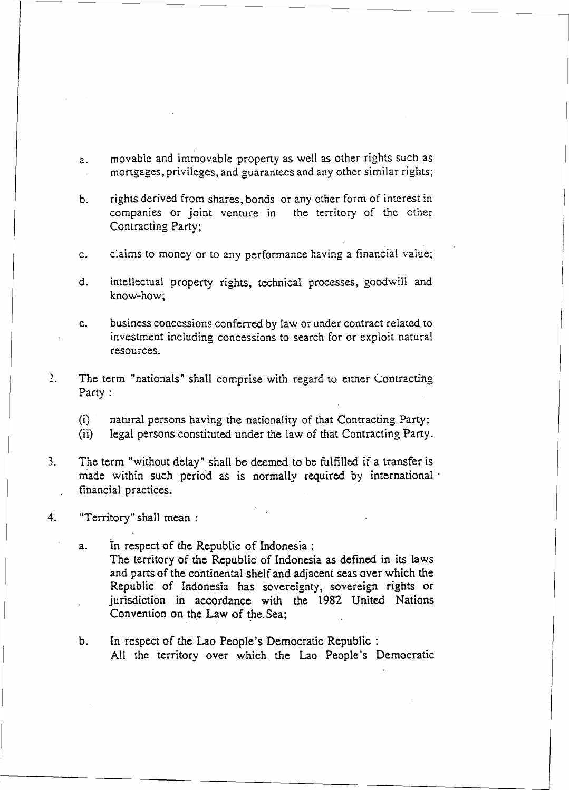a. movable and immovable property as well as other rights such as mortgages, privileges, and guarantees and any other similar rights;

b. rights derived from shares, bonds or any other form of interest in companies or joint venture in the territory of the other Contracting Party;

c. claims to money or to any performance having a financial value;

d. intellectual property rights, technical processes, goodwill and know-how;

e. business concessions conferred by law or under contract related to investment including concessions to search for or exploit natural resources .

 $2.$ The term "nationals" shall comprise with regard to either Contracting Party:

(i) natural persons having the nationality of that Contracting Party;

(ii) legal persons constituted under the law of that Contracting Party.

3. The term "without delay" shall be deemed to be fulfilled if a transfer is made within such period as is normally required by international  $\cdot$ financial practices.

4. "Territory" shall mean:

a. In respect of the Republic of Indonesia: The territory of the Republic of Indonesia as defined in its laws and parts of the continental shelf and adjacent seas over which the Republic of Indonesia has sovereignty, sovereign rights or jurisdiction in accordance with the 1982 United Nations Convention on the Law of the Sea;

b. In respect of the Lao People's Democratic Republic: All the territory over which the Lao People's Democratic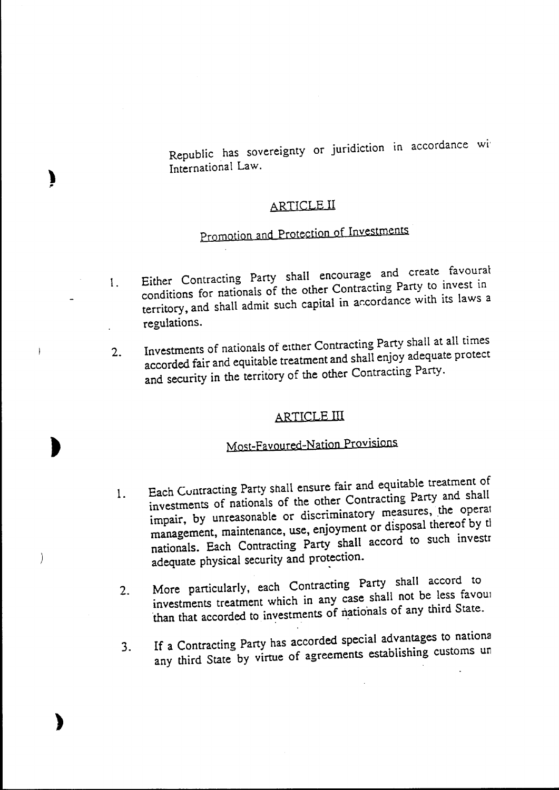Republic has sovereignty or juridiction in accordance wi International Law.

## ARTICLE II

# Promotion and Protection of Investments

- 1. Either Contracting Party shall encourage and create favoural conditions for nationals of the other Contracting Party to invest in territory, and shall admit such capital in ar.cordance with its laws a regulations.
- 2. Investments of nationals of either Contracting Party shall at all times accorded fair and equitable treatment and shall enjoy adequate protect and security in the territory of the other Contracting Party.

## ARTICLE III

,

 $\frac{1}{2}$ 

 $\left\langle \right\rangle$ 

€

)

## Most-Favoured-Nation Provisions

- 1. Each Contracting Party shall ensure fair and equitable treatment of investments of nationals of the other Contracting Party and shall impair, by unreasonable or discriminatory measures, the operal management, maintenance, use, enjoyment or disposal thereof by tl nationals. Each Contracting Party shall accord to such investr adequate physical security and protection.
- 2. More particularly, each Contracting Party shall accord to investments treatment which in any case shall not be less favoul than that accorded to investments of nationals of any third State.
- 3. If a Contracting Party has accorded special advantages to nationa any third State by virtue of agreements establishing customs un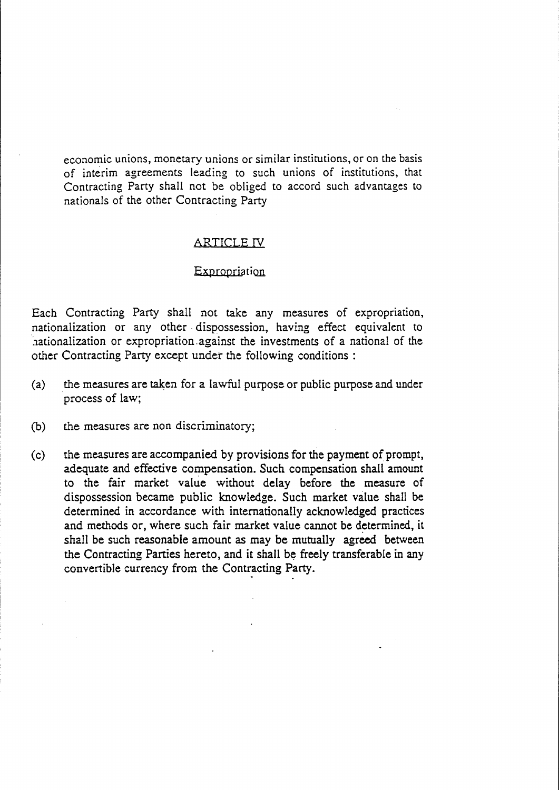economic unions, monetary unions or similar institutions, or on the basis of interim agreements leading to such unions of institutions, that Contracting Party shall not be obliged to accord such advantages to nationals of the other Contracting Party

#### ARTICLE IV

#### Expropriation

Each Contracting Party shall not take any measures of expropriation, nationalization or any other· dispossession, having effect equivalent to hationalization or expropriation against the investments of a national of the other Contracting Party except under the following conditions :

- (a) the measures are taken for a lawful purpose or public purpose and under process of law;
- (b) the measures are non discriminatory;
- (c) the measures are accompanied. by provisions for the payment of prompt, adequate and effective compensation. Such compensation shall amount to the fair market value without delay before the measure of dispossession became public knowledge. Such market value shall be determined in accordance with internationally acknowledged practices and methods or, where such fair market value cannot be determined, it shall be such reasonable amount as may be mutually agreed. between the Contracting Parties hereto, and it shall be freely transferable in any convertible currency from the Contracting Party.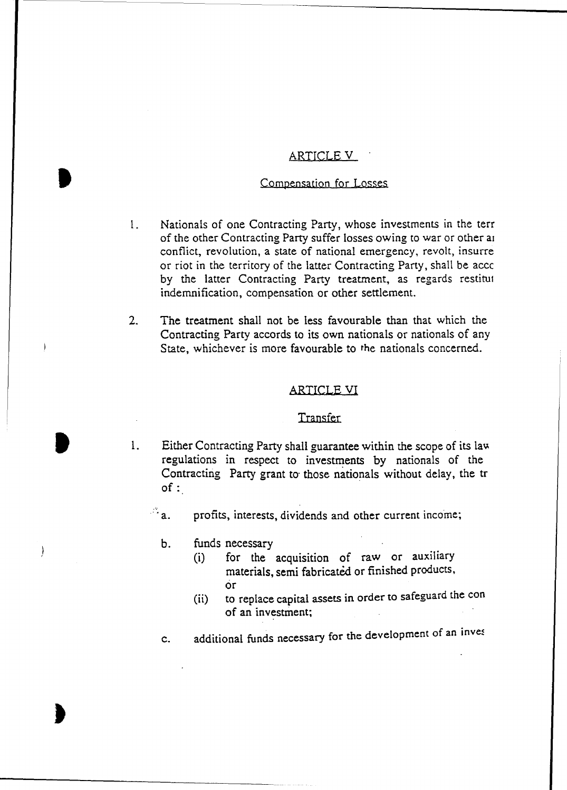#### ARTICLE V

#### Compensation for Losses

- 1. Nationals of one Contracting Party, whose investments in the terr of the other Contracting Party suffer losses owing to war or other al conflict, revolution, a state of national emergency, revolt, insurre or riot in the territory of the latter Contracting Party, shall be accc by the latter Contracting Party treatment, as regards restitul indemnification, compensation or other settlement.
- 2. The treatment shall not be less favourable than that which the Contracting Party accords to its own nationals or nationals of any State, whichever is more favourable to the nationals concerned.

#### ARTICLE VI

#### **Transfer**

1. Either Contracting Party shall guarantee within the scope of its law regulations in respect to investments by nationals of the Contracting Party grant to· those nationals without delay, the tr of:

 $\mathbb{Z}_a$ . profits, interests, dividends and other current income;

b. funds necessary

I

 $\cdot$ 

- (i) for the acquisition of raw or auxiliary materials, semi fabricated or finished products, or
- (ii) to replace capital assets in order to safeguard the con of an investment;

c. additional funds necessary for the development of an inves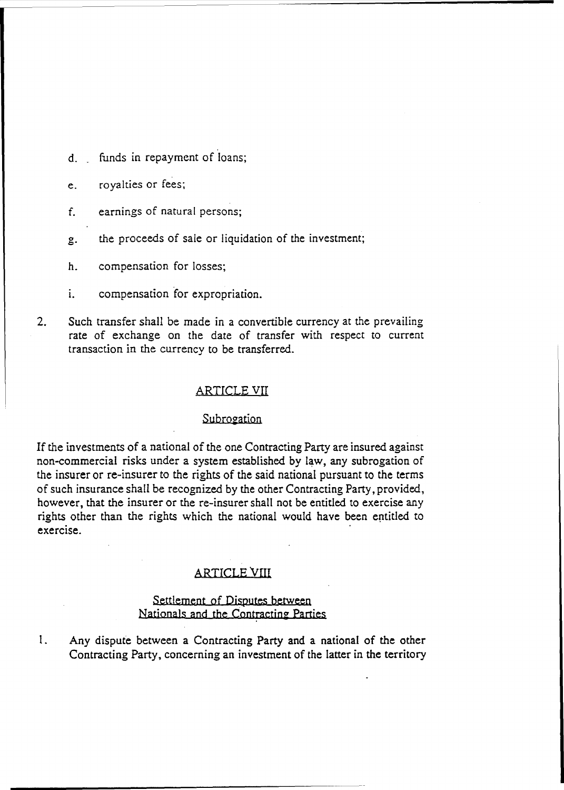d. funds in repayment of loans;

## e. royalties or fees;

- f. earnings of natural persons;
- g. the proceeds of sale or liquidation of the investment;
- h. compensation for losses;
- 1. compensation *tor* expropriation.
- 2. Such transfer shall be made in a convertible currency at the prevailing rate of exchange on the date of transfer with respect to current transaction in the currency to be transferred.

#### ARTICLE VII

#### Subrogation

If the investments of a national of the one Contracting Party are insured against non-commercial risks under a system established by law, any subrogation of the insurer or re-insurer to the rights of the said national pursuant to the terms of such insurance shall be recognized by the other Contracting Party, provided, however, that the insurer or the re-insurer shall not be entitled to exercise any rights other than the rights which the national would have been eptitled to exercise.

#### ARTICLE VIII

#### Settlement of Disputes between Nationals and the Contracting Parties

1. Any dispute between a Contracting Party and a national of the other Contracting Party, concerning an investment of the latter in the territory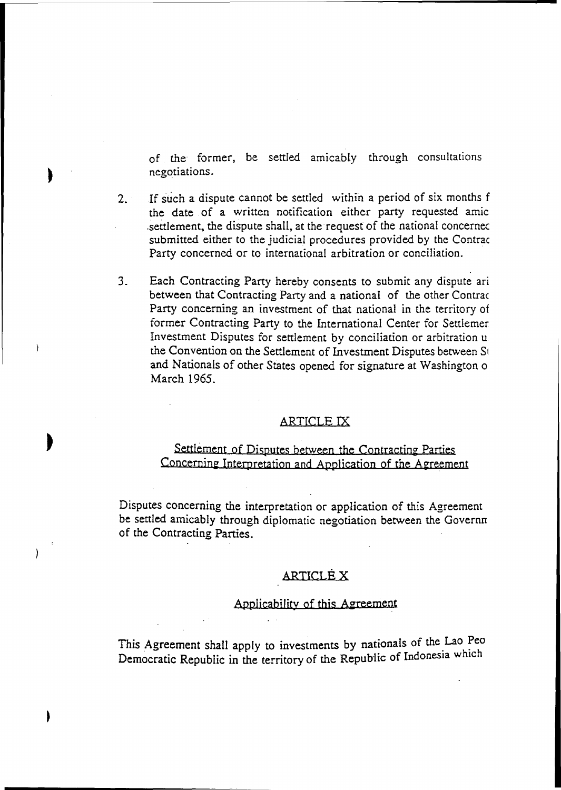of the former, be settled. amicably through consultations negotiations.

- 2. . If such a dispute cannot be settled within a period of six months f the date of a written notification either party requested amic settlement, the dispute shall, at the request of the national concerned submitted either to the judicial procedures provided by the Contrac Party concerned or to international arbitration or conciliation.
- 3. Each Contracting Party hereby consents to submit any dispute ari between that Contracting Party and a national of the other Contrac Party concerning an investment of that national in the territory of former Contracting Party to the International Center for Settlemer Investment Disputes for settlement by conciliation or arbitration u. the Convention on the Settlement of Investment Disputes between SI and Nationals of other States opened for signature at Washington o March 1965.

Ì

 $\left\{ \right\}$ 

#### ARTICLE IX

## Settlement of Disputes between the Contracting Parties Concernine Interpretation and Application of the Aereement

Disputes concerning the interpretation or application of this Agreement be settled amicably through diplomatic negotiation between the Governn of the Contracting Parties.

#### ARTICLE X

#### Applicability of this Agreement

This Agreement shall apply to investments by nationals of the Lao Peo Democratic Republic in the territory of the Republic of Indonesia which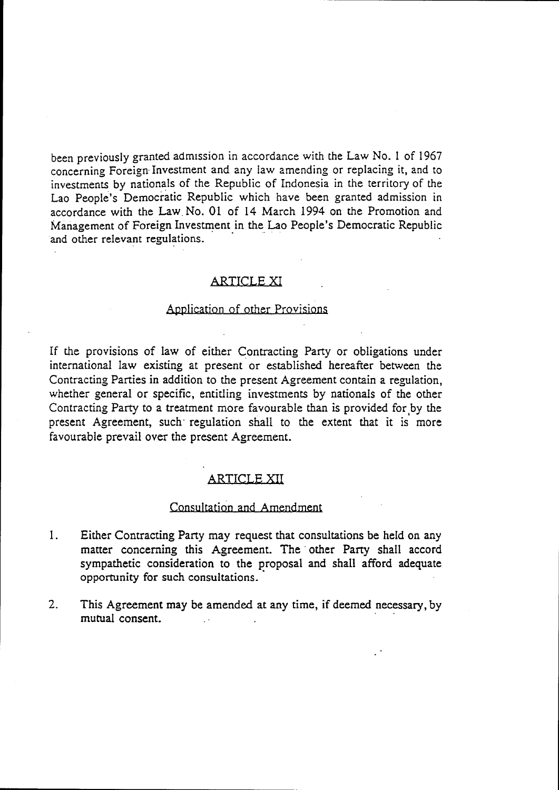been previously granted admission in accordance with the Law No. 1 of 1967 concerning Foreign- Investment and any law amending or replacing it, and to investments by nationals of the Republic of Indonesia in the territory of the Lao People's Democratic Republic which have been granted admission in accordance with the Law No. 01 of 14 March 1994 on the Promotion and Management of Foreign Investment in the Lao People's Democratic Republic and other relevant regulations.

#### ARTICLE XI

#### Application of other Provisions

If the provisions of law of either Contracting Party or obligations under international law existing at present or established hereafter between the Contracting Parties in addition to the present Agreement contain a regulation, whether general or specific, entitling investments by nationals of the other Contracting Party to a treatment more favourable than is provided for by the present Agreement, such regulation shall to the extent that it is more favourable prevail over the present Agreement.

#### ARTICLE XII

#### Consultation and Amendment

- 1. Either Contracting Party may request that consultations be held on any matter concerning this Agreement. The other Party shall accord sympathetic consideration to the proposal and shall afford adequate opportunity for such consultations ..
- 2. This Agreement may be amended at any time, if deemed necessary, by mutual consent.